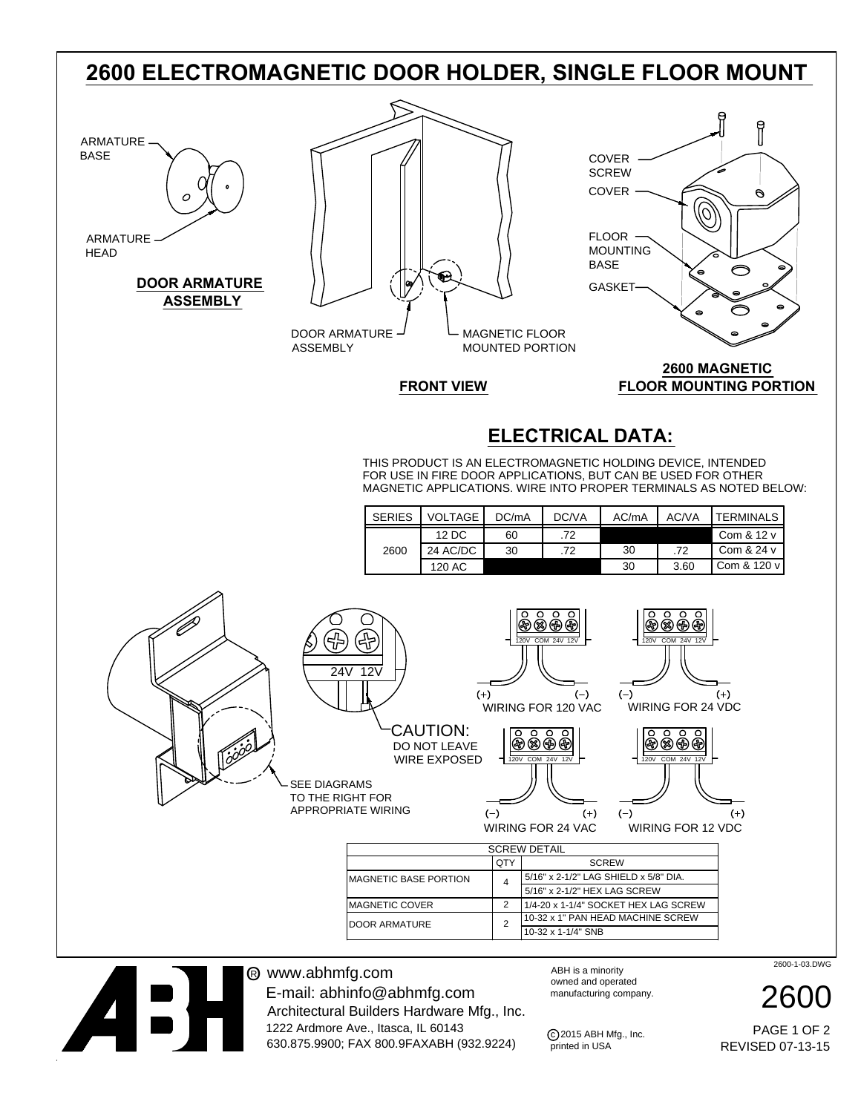## **2600 ELECTROMAGNETIC DOOR HOLDER, SINGLE FLOOR MOUNT**

# ARMATURE BASE ARMATURE

**HEAD** 

#### **DOOR ARMATURE ASSEMBLY**

|               | œ |              |  |
|---------------|---|--------------|--|
| DOOR ARMATHRE |   | MACNETIC ELO |  |

**FRONT VIEW**

DOOR ARMATURE ASSEMBLY

MAGNETIC FLOOR MOUNTED PORTION

### **2600 MAGNETIC FLOOR MOUNTING PORTION**

(0)

i

 $\Theta$ 

### **ELECTRICAL DATA:**

FOR USE IN FIRE DOOR APPLICATIONS, BUT CAN BE USED FOR OTHER THIS PRODUCT IS AN ELECTROMAGNETIC HOLDING DEVICE, INTENDED MAGNETIC APPLICATIONS. WIRE INTO PROPER TERMINALS AS NOTED BELOW:

COVER **SCREW** 

COVER

FLOOR MOUNTING BASE **GASKET** 

| <b>SERIES</b> | <b>VOLTAGE I</b>  | DC/mA | DC/VA | AC/mA | AC/VA | TERMINALS     |
|---------------|-------------------|-------|-------|-------|-------|---------------|
|               | $12\overline{DC}$ | 60    | .72   |       |       | Com & 12 v    |
| 2600          | 24 AC/DC          | 30    | .72   | 30    | .72   | Com & 24 v    |
|               | 120 AC            |       |       | 30    | 3.60  | Com $& 120 v$ |



® www.abhmfg.com E-mail: abhinfo@abhmfg.com Architectural Builders Hardware Mfg., Inc.

1222 Ardmore Ave., Itasca, IL 60143 630.875.9900; FAX 800.9FAXABH (932.9224) ABH is a minority owned and operated manufacturing company.

C 2015 ABH Mfg., Inc.<br>printed in USA

2600-1-03.DWG

2600

REVISED 07-13-15 PAGE 1 OF 2